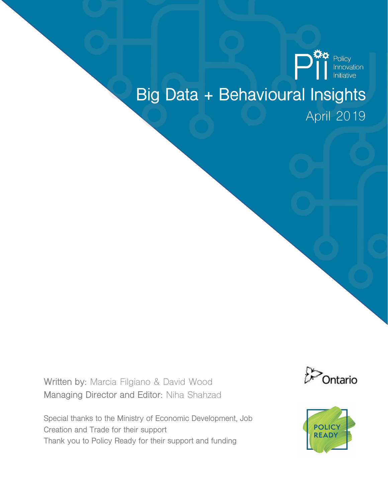

## **Big Data + Behavioural Insights** April 2019

**Written by:** Marcia Filgiano & David Wood **Managing Director and Editor:** Niha Shahzad





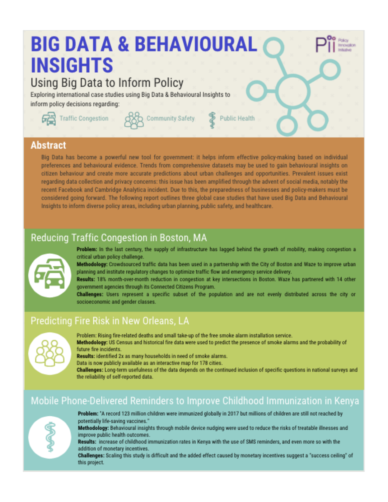# **BIG DATA & BEHAVIOURAL INSIGHTS Using Big Data to Inform Policy**

Exploring international case studies using Big Data & Behavioural Insights to inform policy decisions regarding:





Community Safety



#### **Abstract**

Big Data has become a powerful new tool for government: it helps inform effective policy-making based on individual preferences and behavioural evidence. Trends from comprehensive datasets may be used to gain behavioural insights on citizen behaviour and create more accurate predictions about urban challenges and opportunities. Prevalent issues exist regarding data collection and privacy concerns: this issue has been amplified through the advent of social media, notably the recent Facebook and Cambridge Analytica incident. Due to this, the preparedness of businesses and policy-makers must be considered going forward. The following report outlines three global case studies that have used Big Data and Behavioural Insights to inform diverse policy areas, including urban planning, public safety, and healthcare.

### Reducing Traffic Congestion in Boston, MA



Problem: In the last century, the supply of infrastructure has lagged behind the growth of mobility, making congestion a critical urban policy challenge.

Methodology: Crowdsourced traffic data has been used in a partnership with the City of Boston and Waze to improve urban planning and institute regulatory changes to optimize traffic flow and emergency service delivery.

Results: 18% month-over-month reduction in congestion at key intersections in Boston. Waze has partnered with 14 other government agencies through its Connected Citizens Program.

Challenges: Users represent a specific subset of the population and are not evenly distributed across the city or socioeconomic and gender classes.

### Predicting Fire Risk in New Orleans, LA



Problem: Rising fire-related deaths and small take-up of the free smoke alarm installation service. Methodology: US Census and historical fire data were used to predict the presence of smoke alarms and the probability of future fire incidents.

Results: identified 2x as many households in need of smoke alarms.

Data is now publicly available as an interactive map for 178 cities.

Challenges: Long-term usefulness of the data depends on the continued inclusion of specific questions in national surveys and the reliability of self-reported data.

#### Mobile Phone-Delivered Reminders to Improve Childhood Immunization in Kenya



Problem: 'A record 123 million children were immunized globally in 2017 but millions of children are still not reached by potentially life-saving vaccines."

Methodology: Behavioural insights through mobile device nudging were used to reduce the risks of treatable illnesses and improve public health outcomes.

Results: increase of childhood immunization rates in Kenya with the use of SMS reminders, and even more so with the addition of monetary incentives.

Challenges: Scaling this study is difficult and the added effect caused by monetary incentives suggest a "success ceiling" of this project.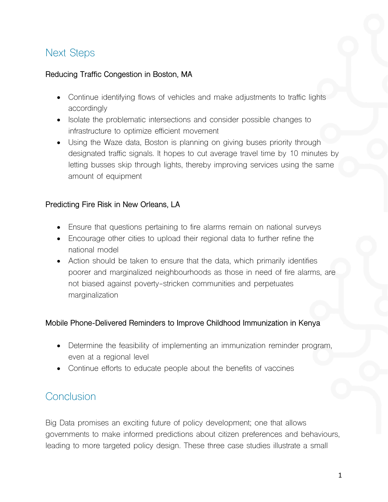## Next Steps

#### **Reducing Traffic Congestion in Boston, MA**

- Continue identifying flows of vehicles and make adjustments to traffic lights accordingly
- Isolate the problematic intersections and consider possible changes to infrastructure to optimize efficient movement
- Using the Waze data, Boston is planning on giving buses priority through designated traffic signals. It hopes to cut average travel time by 10 minutes by letting busses skip through lights, thereby improving services using the same amount of equipment

#### **Predicting Fire Risk in New Orleans, LA**

- Ensure that questions pertaining to fire alarms remain on national surveys
- Encourage other cities to upload their regional data to further refine the national model
- Action should be taken to ensure that the data, which primarily identifies poorer and marginalized neighbourhoods as those in need of fire alarms, are not biased against poverty-stricken communities and perpetuates marginalization

#### **Mobile Phone-Delivered Reminders to Improve Childhood Immunization in Kenya**

- Determine the feasibility of implementing an immunization reminder program, even at a regional level
- Continue efforts to educate people about the benefits of vaccines

## **Conclusion**

Big Data promises an exciting future of policy development; one that allows governments to make informed predictions about citizen preferences and behaviours, leading to more targeted policy design. These three case studies illustrate a small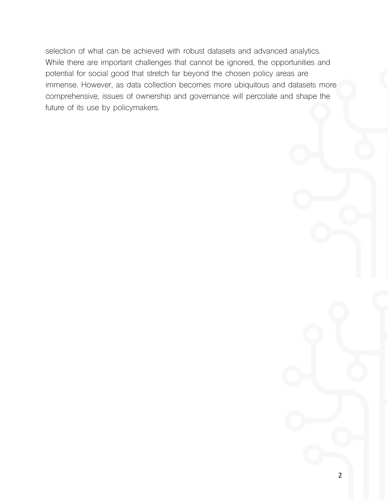selection of what can be achieved with robust datasets and advanced analytics. While there are important challenges that cannot be ignored, the opportunities and potential for social good that stretch far beyond the chosen policy areas are immense. However, as data collection becomes more ubiquitous and datasets more comprehensive, issues of ownership and governance will percolate and shape the future of its use by policymakers.